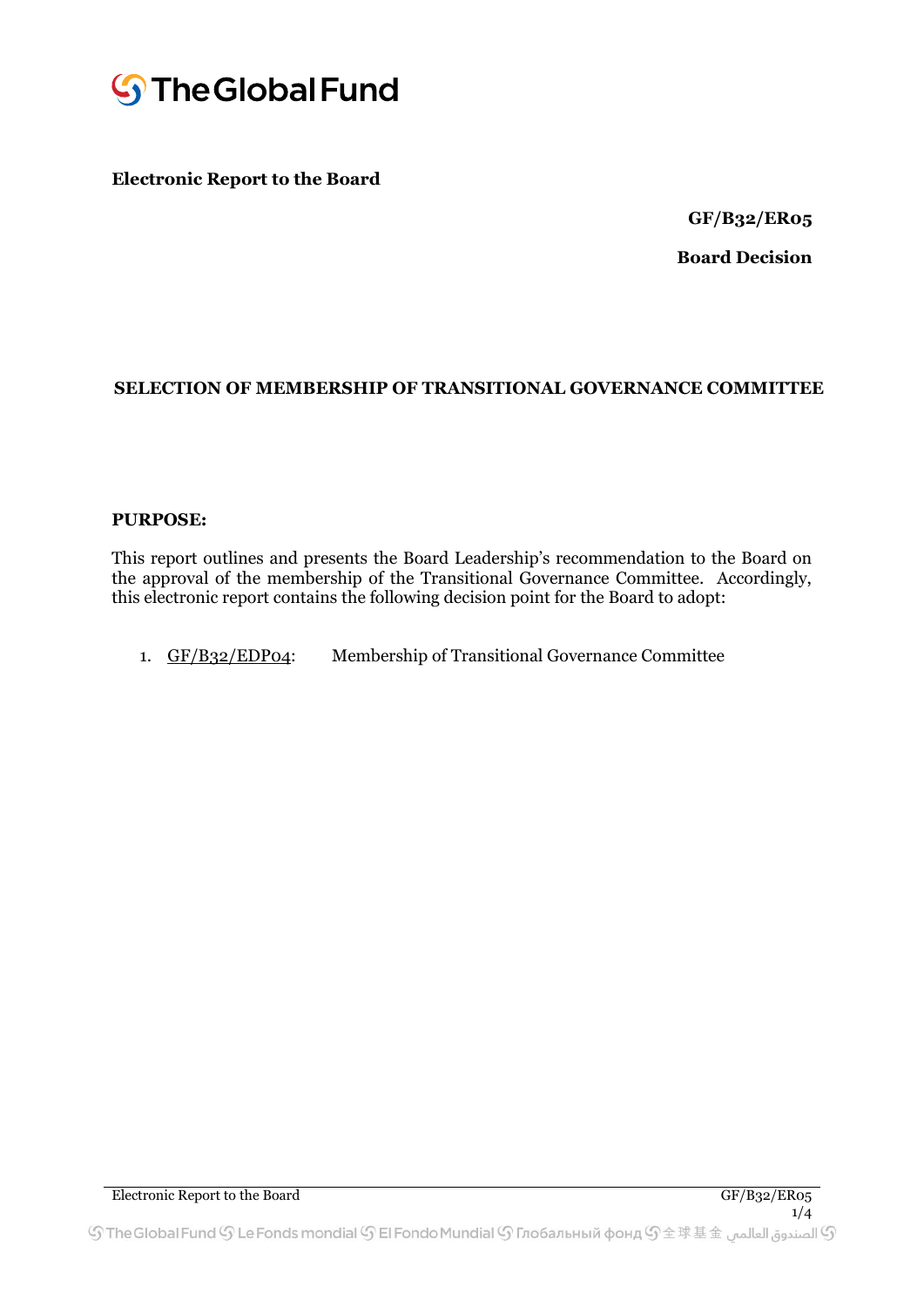

### **Electronic Report to the Board**

**GF/B32/ER05** 

**Board Decision** 

#### **SELECTION OF MEMBERSHIP OF TRANSITIONAL GOVERNANCE COMMITTEE**

#### **PURPOSE:**

This report outlines and presents the Board Leadership's recommendation to the Board on the approval of the membership of the Transitional Governance Committee. Accordingly, this electronic report contains the following decision point for the Board to adopt:

1. GF/B32/EDP04: Membership of Transitional Governance Committee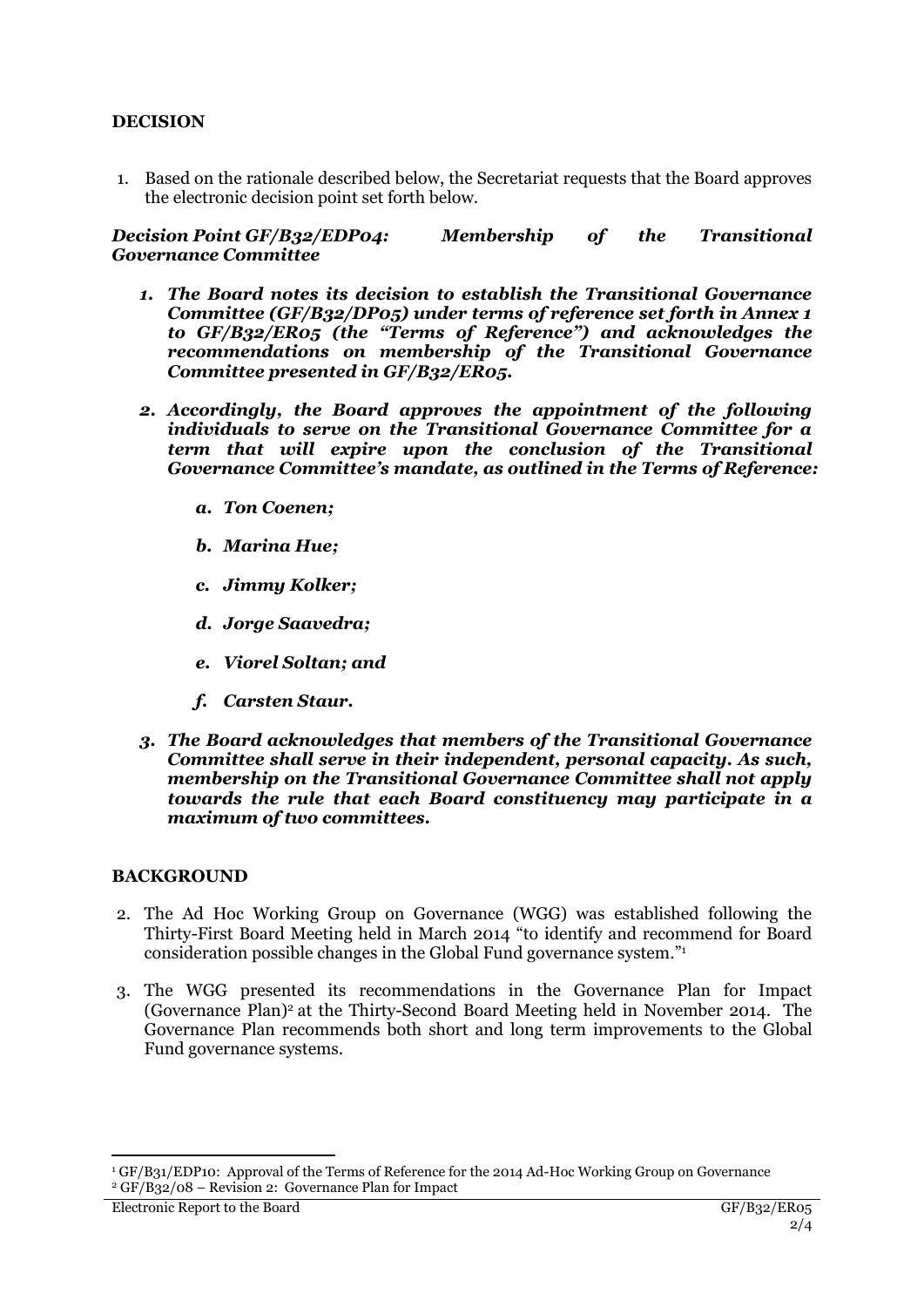## **DECISION**

1. Based on the rationale described below, the Secretariat requests that the Board approves the electronic decision point set forth below.

#### *Decision Point GF/B32/EDP04: Membership of the Transitional Governance Committee*

- *1. The Board notes its decision to establish the Transitional Governance Committee (GF/B32/DP05) under terms of reference set forth in Annex 1 to GF/B32/ER05 (the "Terms of Reference") and acknowledges the recommendations on membership of the Transitional Governance Committee presented in GF/B32/ER05.*
- *2. Accordingly, the Board approves the appointment of the following individuals to serve on the Transitional Governance Committee for a term that will expire upon the conclusion of the Transitional Governance Committee's mandate, as outlined in the Terms of Reference:*
	- *a. Ton Coenen;*
	- *b. Marina Hue;*
	- *c. Jimmy Kolker;*
	- *d. Jorge Saavedra;*
	- *e. Viorel Soltan; and*
	- *f. Carsten Staur.*
- *3. The Board acknowledges that members of the Transitional Governance Committee shall serve in their independent, personal capacity. As such, membership on the Transitional Governance Committee shall not apply towards the rule that each Board constituency may participate in a maximum of two committees.*

#### **BACKGROUND**

- 2. The Ad Hoc Working Group on Governance (WGG) was established following the Thirty-First Board Meeting held in March 2014 "to identify and recommend for Board consideration possible changes in the Global Fund governance system."<sup>1</sup>
- 3. The WGG presented its recommendations in the Governance Plan for Impact (Governance Plan)<sup>2</sup> at the Thirty-Second Board Meeting held in November 2014. The Governance Plan recommends both short and long term improvements to the Global Fund governance systems.

 $\overline{a}$ 

<sup>1</sup> GF/B31/EDP10: Approval of the Terms of Reference for the 2014 Ad-Hoc Working Group on Governance  $2 \text{ GF/B}_32/08$  – Revision 2: Governance Plan for Impact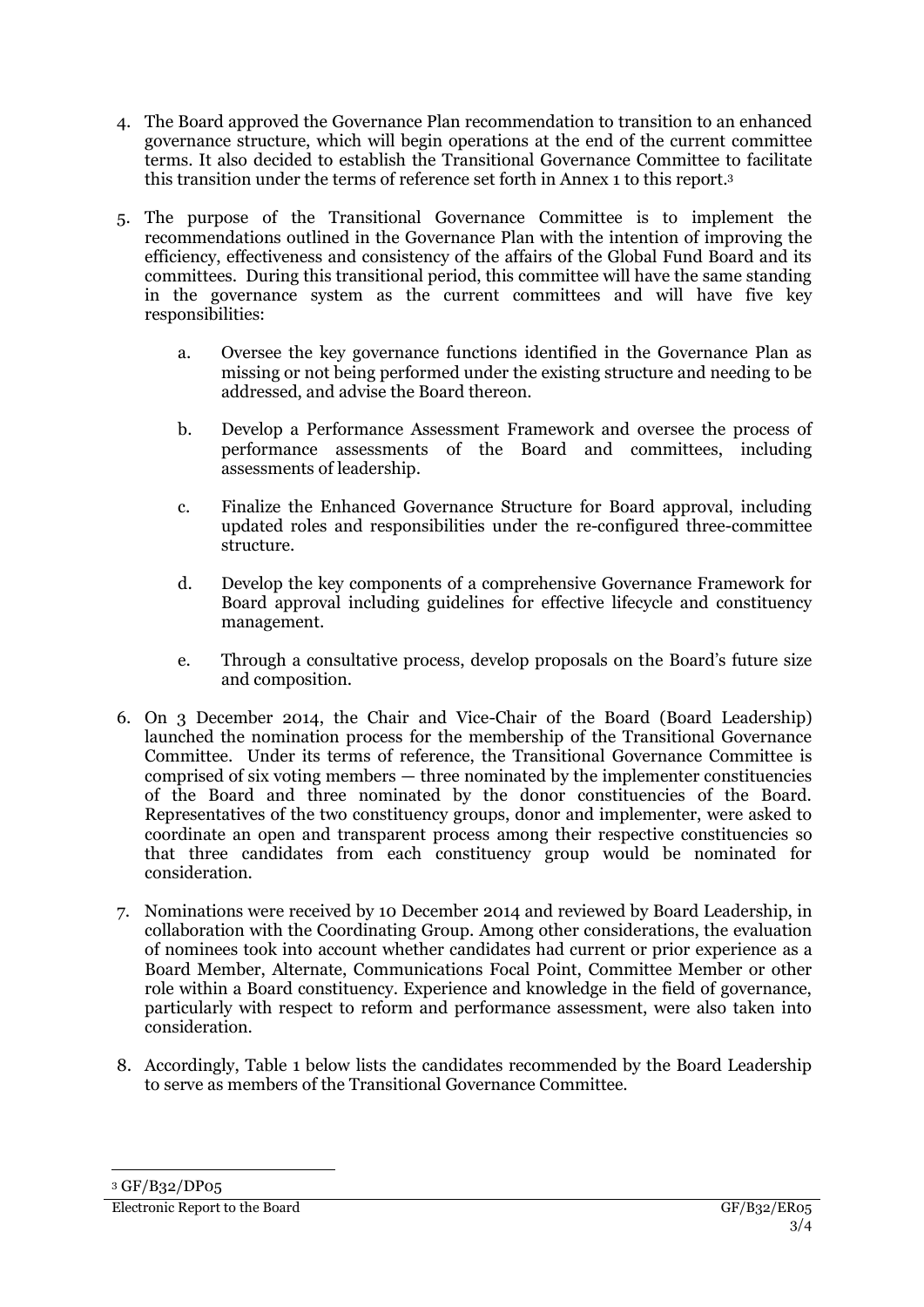- 4. The Board approved the Governance Plan recommendation to transition to an enhanced governance structure, which will begin operations at the end of the current committee terms. It also decided to establish the Transitional Governance Committee to facilitate this transition under the terms of reference set forth in Annex 1 to this report. 3
- 5. The purpose of the Transitional Governance Committee is to implement the recommendations outlined in the Governance Plan with the intention of improving the efficiency, effectiveness and consistency of the affairs of the Global Fund Board and its committees. During this transitional period, this committee will have the same standing in the governance system as the current committees and will have five key responsibilities:
	- a. Oversee the key governance functions identified in the Governance Plan as missing or not being performed under the existing structure and needing to be addressed, and advise the Board thereon.
	- b. Develop a Performance Assessment Framework and oversee the process of performance assessments of the Board and committees, including assessments of leadership.
	- c. Finalize the Enhanced Governance Structure for Board approval, including updated roles and responsibilities under the re-configured three-committee structure.
	- d. Develop the key components of a comprehensive Governance Framework for Board approval including guidelines for effective lifecycle and constituency management.
	- e. Through a consultative process, develop proposals on the Board's future size and composition.
- 6. On 3 December 2014, the Chair and Vice-Chair of the Board (Board Leadership) launched the nomination process for the membership of the Transitional Governance Committee. Under its terms of reference, the Transitional Governance Committee is comprised of six voting members — three nominated by the implementer constituencies of the Board and three nominated by the donor constituencies of the Board. Representatives of the two constituency groups, donor and implementer, were asked to coordinate an open and transparent process among their respective constituencies so that three candidates from each constituency group would be nominated for consideration.
- 7. Nominations were received by 10 December 2014 and reviewed by Board Leadership, in collaboration with the Coordinating Group. Among other considerations, the evaluation of nominees took into account whether candidates had current or prior experience as a Board Member, Alternate, Communications Focal Point, Committee Member or other role within a Board constituency. Experience and knowledge in the field of governance, particularly with respect to reform and performance assessment, were also taken into consideration.
- 8. Accordingly, Table 1 below lists the candidates recommended by the Board Leadership to serve as members of the Transitional Governance Committee.

 $\overline{a}$ 

<sup>3</sup> GF/B32/DP05

Electronic Report to the Board GF/B32/ER05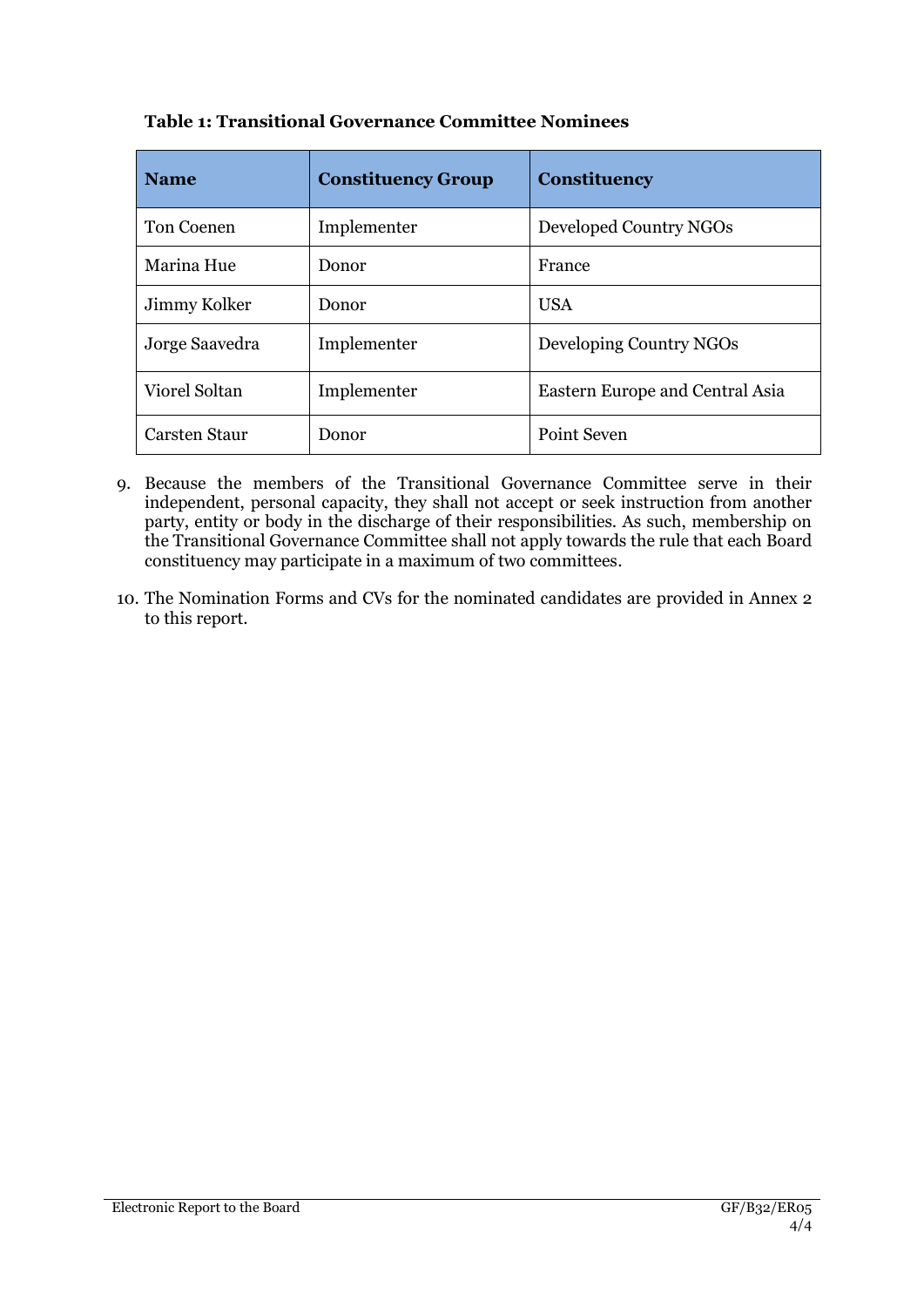| <b>Name</b>          | <b>Constituency Group</b> | <b>Constituency</b>             |
|----------------------|---------------------------|---------------------------------|
| <b>Ton Coenen</b>    | Implementer               | Developed Country NGOs          |
| Marina Hue           | Donor                     | France                          |
| Jimmy Kolker         | Donor                     | <b>USA</b>                      |
| Jorge Saavedra       | Implementer               | Developing Country NGOs         |
| Viorel Soltan        | Implementer               | Eastern Europe and Central Asia |
| <b>Carsten Staur</b> | Donor                     | Point Seven                     |

# **Table 1: Transitional Governance Committee Nominees**

- 9. Because the members of the Transitional Governance Committee serve in their independent, personal capacity, they shall not accept or seek instruction from another party, entity or body in the discharge of their responsibilities. As such, membership on the Transitional Governance Committee shall not apply towards the rule that each Board constituency may participate in a maximum of two committees.
- 10. The Nomination Forms and CVs for the nominated candidates are provided in Annex 2 to this report.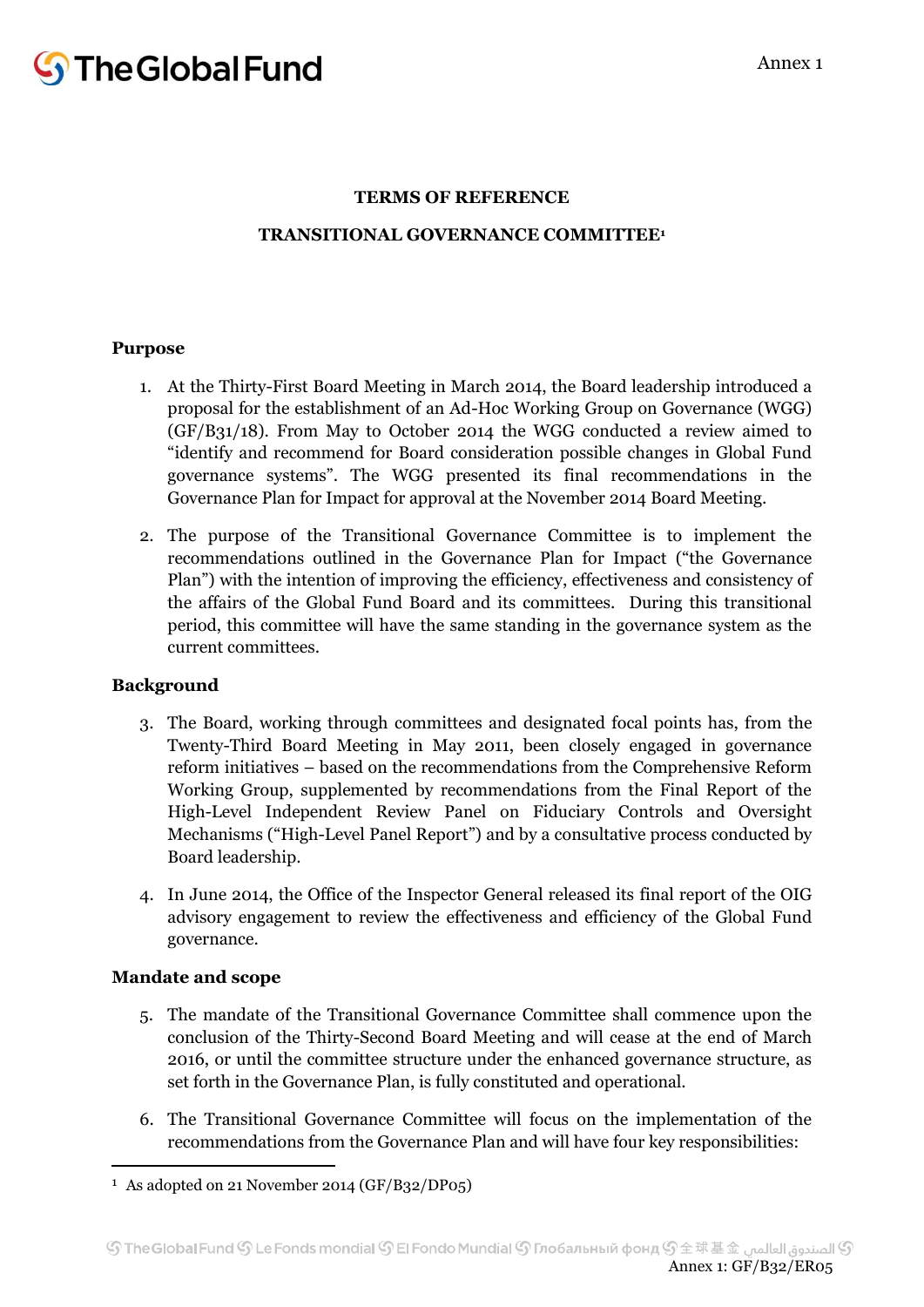### **TERMS OF REFERENCE**

## **TRANSITIONAL GOVERNANCE COMMITTEE<sup>1</sup>**

#### **Purpose**

- 1. At the Thirty-First Board Meeting in March 2014, the Board leadership introduced a proposal for the establishment of an Ad-Hoc Working Group on Governance (WGG) (GF/B31/18). From May to October 2014 the WGG conducted a review aimed to "identify and recommend for Board consideration possible changes in Global Fund governance systems". The WGG presented its final recommendations in the Governance Plan for Impact for approval at the November 2014 Board Meeting.
- 2. The purpose of the Transitional Governance Committee is to implement the recommendations outlined in the Governance Plan for Impact ("the Governance Plan") with the intention of improving the efficiency, effectiveness and consistency of the affairs of the Global Fund Board and its committees. During this transitional period, this committee will have the same standing in the governance system as the current committees.

#### **Background**

- 3. The Board, working through committees and designated focal points has, from the Twenty-Third Board Meeting in May 2011, been closely engaged in governance reform initiatives – based on the recommendations from the Comprehensive Reform Working Group, supplemented by recommendations from the Final Report of the High-Level Independent Review Panel on Fiduciary Controls and Oversight Mechanisms ("High-Level Panel Report") and by a consultative process conducted by Board leadership. rship introduced a<br>Sovernance (WGG)<br>a review aimed to<br>ges in Global Fund<br>nendations in the<br>ard Meeting.<br>to implement the<br>("the Governance<br>and consistency of<br>ng this transitional<br>ance system as the<br>prehensive Reform<br>inal R
- 4. In June 2014, the Office of the Inspector General released its final report of the OIG advisory engagement to review the effectiveness and efficiency of the Global Fund governance.

# **Mandate and scope**

**.** 

- 5. The mandate of the Transitional Governance Committee shall commence upon the conclusion of the Thirty-Second Board Meeting and will cease at the end of March 2016, or until the committee structure under the enhanced governance structure, as set forth in the Governance Plan, is fully constituted and operational.
- 6. The Transitional Governance Committee will focus on the implementation of the recommendations from the Governance Plan and will have four key responsibilities:

<sup>1</sup> As adopted on 21 November 2014 (GF/B32/DP05)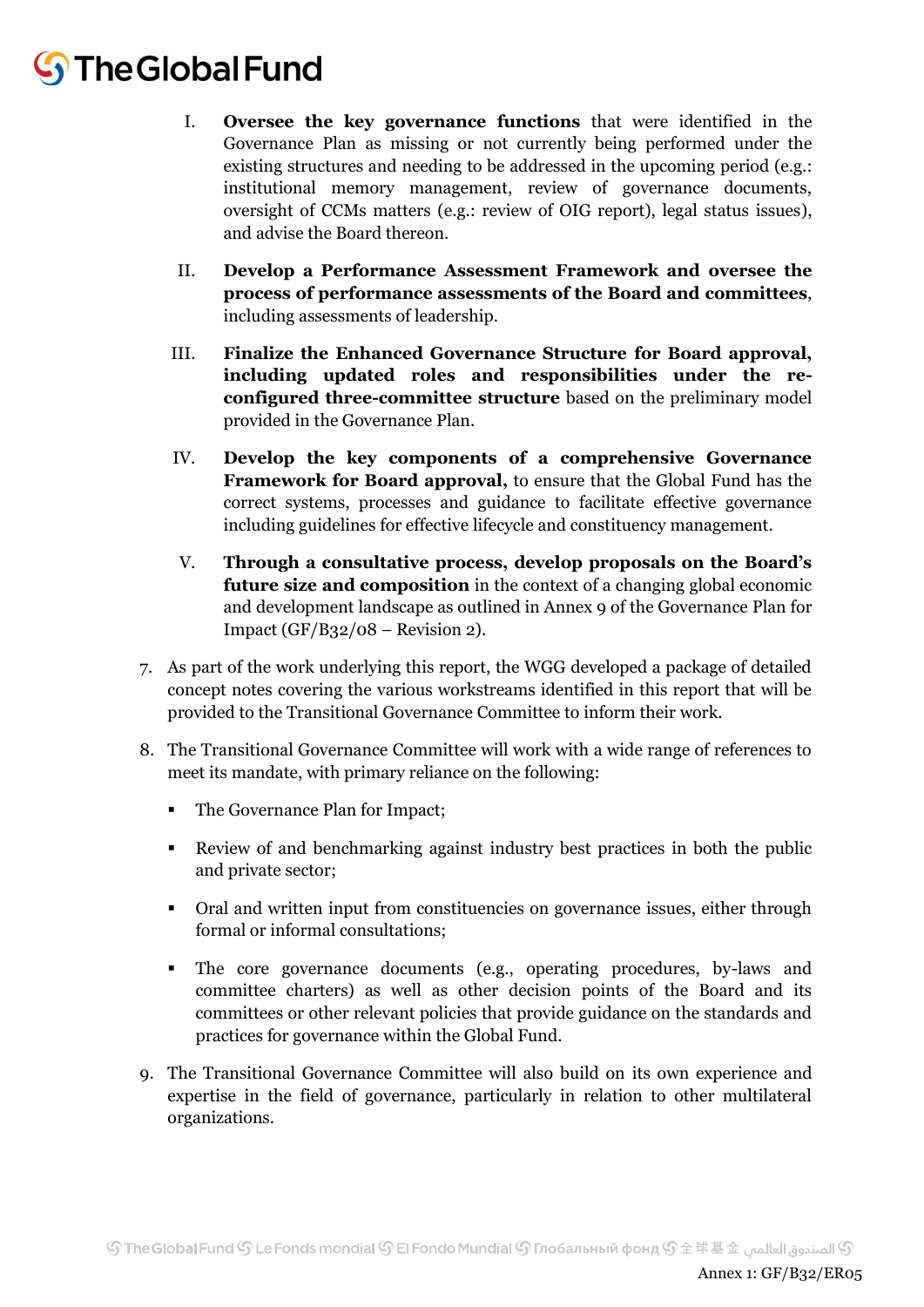# **S** The Global Fund

- I. **Oversee the key governance functions** that were identified in the Governance Plan as missing or not currently being performed under the existing structures and needing to be addressed in the upcoming period (e.g.: institutional memory management, review of governance documents, oversight of CCMs matters (e.g.: review of OIG report), legal status issues), and advise the Board thereon.
- II. **Develop a Performance Assessment Framework and oversee the process of performance assessments of the Board and committees**, including assessments of leadership.
- III. **Finalize the Enhanced Governance Structure for Board approval, including updated roles and responsibilities under the reconfigured three-committee structure** based on the preliminary model provided in the Governance Plan.
- IV. **Develop the key components of a comprehensive Governance Framework for Board approval,** to ensure that the Global Fund has the correct systems, processes and guidance to facilitate effective governance including guidelines for effective lifecycle and constituency management.
- V. **Through a consultative process, develop proposals on the Board's future size and composition** in the context of a changing global economic and development landscape as outlined in Annex 9 of the Governance Plan for Impact  $(GF/B32/08 -$  Revision 2).
- 7. As part of the work underlying this report, the WGG developed a package of detailed concept notes covering the various workstreams identified in this report that will be provided to the Transitional Governance Committee to inform their work.
- 8. The Transitional Governance Committee will work with a wide range of references to meet its mandate, with primary reliance on the following:
	- The Governance Plan for Impact;
	- Review of and benchmarking against industry best practices in both the public and private sector;
	- Oral and written input from constituencies on governance issues, either through formal or informal consultations;
	- The core governance documents (e.g., operating procedures, by-laws and committee charters) as well as other decision points of the Board and its committees or other relevant policies that provide guidance on the standards and practices for governance within the Global Fund.
- 9. The Transitional Governance Committee will also build on its own experience and expertise in the field of governance, particularly in relation to other multilateral organizations.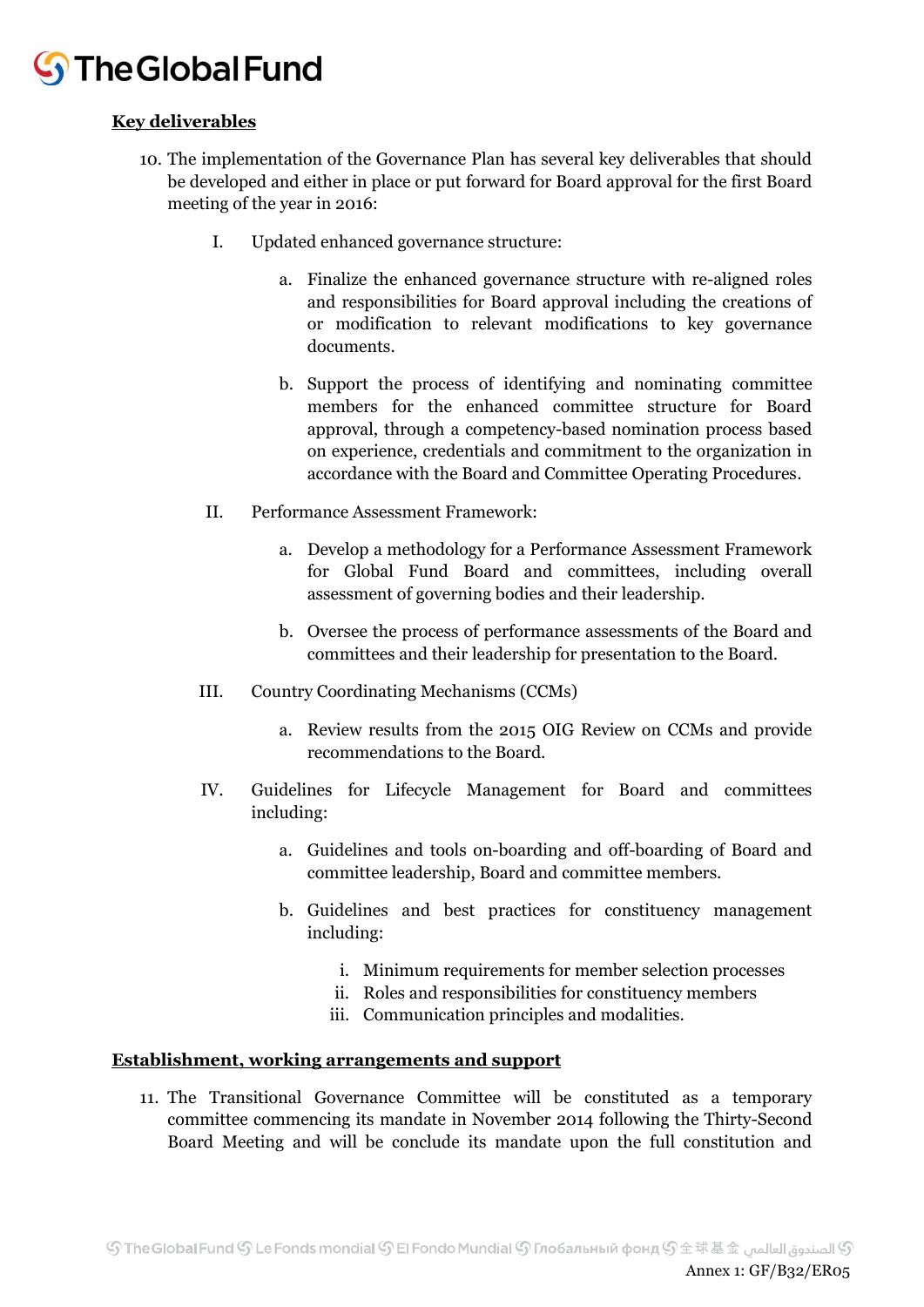# **S** The Global Fund

# **Key deliverables**

- 10. The implementation of the Governance Plan has several key deliverables that should be developed and either in place or put forward for Board approval for the first Board meeting of the year in 2016:
	- I. Updated enhanced governance structure:
		- a. Finalize the enhanced governance structure with re-aligned roles and responsibilities for Board approval including the creations of or modification to relevant modifications to key governance documents.
		- b. Support the process of identifying and nominating committee members for the enhanced committee structure for Board approval, through a competency-based nomination process based on experience, credentials and commitment to the organization in accordance with the Board and Committee Operating Procedures.
	- II. Performance Assessment Framework:
		- a. Develop a methodology for a Performance Assessment Framework for Global Fund Board and committees, including overall assessment of governing bodies and their leadership.
		- b. Oversee the process of performance assessments of the Board and committees and their leadership for presentation to the Board.
	- III. Country Coordinating Mechanisms (CCMs)
		- a. Review results from the 2015 OIG Review on CCMs and provide recommendations to the Board.
	- IV. Guidelines for Lifecycle Management for Board and committees including:
		- a. Guidelines and tools on-boarding and off-boarding of Board and committee leadership, Board and committee members.
		- b. Guidelines and best practices for constituency management including:
			- i. Minimum requirements for member selection processes
			- ii. Roles and responsibilities for constituency members
			- iii. Communication principles and modalities.

# **Establishment, working arrangements and support**

11. The Transitional Governance Committee will be constituted as a temporary committee commencing its mandate in November 2014 following the Thirty-Second Board Meeting and will be conclude its mandate upon the full constitution and